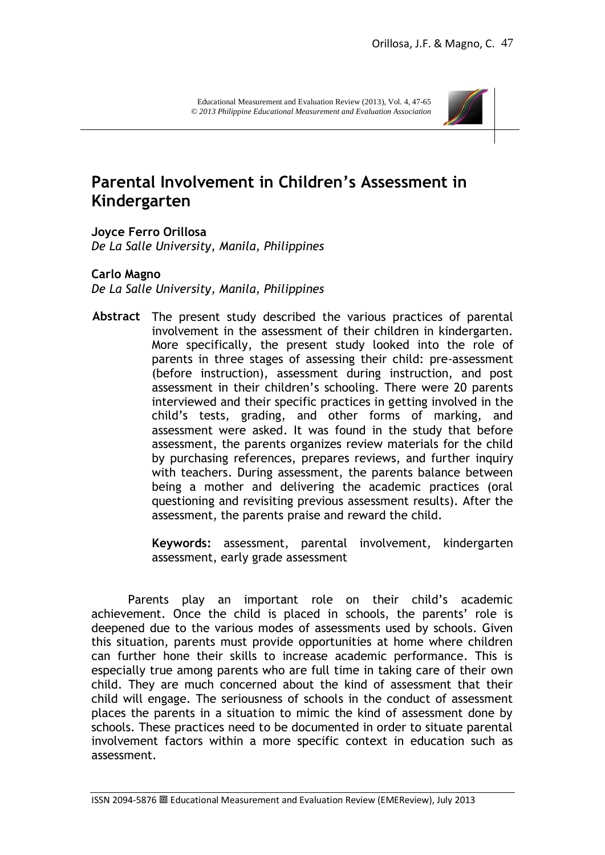

# **Parental Involvement in Children's Assessment in Kindergarten**

**Joyce Ferro Orillosa** *De La Salle University, Manila, Philippines*

### **Carlo Magno**

*De La Salle University, Manila, Philippines*

**Abstract** The present study described the various practices of parental involvement in the assessment of their children in kindergarten. More specifically, the present study looked into the role of parents in three stages of assessing their child: pre-assessment (before instruction), assessment during instruction, and post assessment in their children's schooling. There were 20 parents interviewed and their specific practices in getting involved in the child"s tests, grading, and other forms of marking, and assessment were asked. It was found in the study that before assessment, the parents organizes review materials for the child by purchasing references, prepares reviews, and further inquiry with teachers. During assessment, the parents balance between being a mother and delivering the academic practices (oral questioning and revisiting previous assessment results). After the assessment, the parents praise and reward the child.

> **Keywords:** assessment, parental involvement, kindergarten assessment, early grade assessment

Parents play an important role on their child"s academic achievement. Once the child is placed in schools, the parents' role is deepened due to the various modes of assessments used by schools. Given this situation, parents must provide opportunities at home where children can further hone their skills to increase academic performance. This is especially true among parents who are full time in taking care of their own child. They are much concerned about the kind of assessment that their child will engage. The seriousness of schools in the conduct of assessment places the parents in a situation to mimic the kind of assessment done by schools. These practices need to be documented in order to situate parental involvement factors within a more specific context in education such as assessment.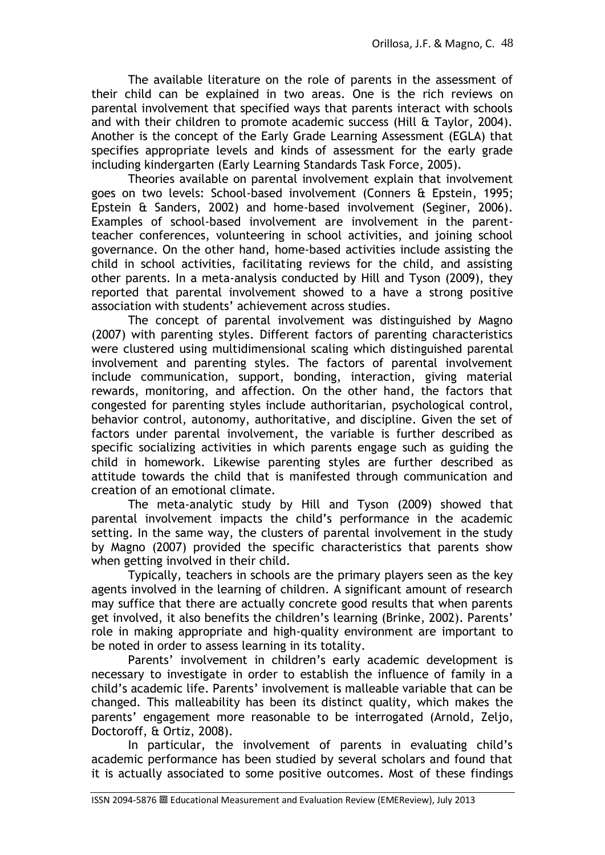The available literature on the role of parents in the assessment of their child can be explained in two areas. One is the rich reviews on parental involvement that specified ways that parents interact with schools and with their children to promote academic success (Hill & Taylor, 2004). Another is the concept of the Early Grade Learning Assessment (EGLA) that specifies appropriate levels and kinds of assessment for the early grade including kindergarten (Early Learning Standards Task Force, 2005).

Theories available on parental involvement explain that involvement goes on two levels: School-based involvement (Conners & Epstein, 1995; Epstein & Sanders, 2002) and home-based involvement (Seginer, 2006). Examples of school-based involvement are involvement in the parentteacher conferences, volunteering in school activities, and joining school governance. On the other hand, home-based activities include assisting the child in school activities, facilitating reviews for the child, and assisting other parents. In a meta-analysis conducted by Hill and Tyson (2009), they reported that parental involvement showed to a have a strong positive association with students' achievement across studies.

The concept of parental involvement was distinguished by Magno (2007) with parenting styles. Different factors of parenting characteristics were clustered using multidimensional scaling which distinguished parental involvement and parenting styles. The factors of parental involvement include communication, support, bonding, interaction, giving material rewards, monitoring, and affection. On the other hand, the factors that congested for parenting styles include authoritarian, psychological control, behavior control, autonomy, authoritative, and discipline. Given the set of factors under parental involvement, the variable is further described as specific socializing activities in which parents engage such as guiding the child in homework. Likewise parenting styles are further described as attitude towards the child that is manifested through communication and creation of an emotional climate.

The meta-analytic study by Hill and Tyson (2009) showed that parental involvement impacts the child"s performance in the academic setting. In the same way, the clusters of parental involvement in the study by Magno (2007) provided the specific characteristics that parents show when getting involved in their child.

Typically, teachers in schools are the primary players seen as the key agents involved in the learning of children. A significant amount of research may suffice that there are actually concrete good results that when parents get involved, it also benefits the children"s learning (Brinke, 2002). Parents" role in making appropriate and high-quality environment are important to be noted in order to assess learning in its totality.

Parents' involvement in children's early academic development is necessary to investigate in order to establish the influence of family in a child"s academic life. Parents" involvement is malleable variable that can be changed. This malleability has been its distinct quality, which makes the parents" engagement more reasonable to be interrogated (Arnold, Zeljo, Doctoroff, & Ortiz, 2008).

In particular, the involvement of parents in evaluating child"s academic performance has been studied by several scholars and found that it is actually associated to some positive outcomes. Most of these findings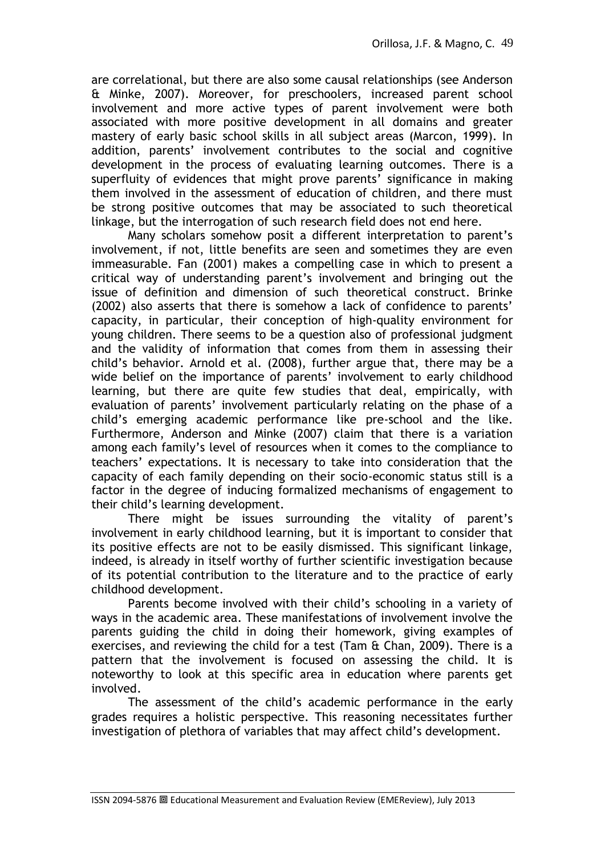are correlational, but there are also some causal relationships (see Anderson & Minke, 2007). Moreover, for preschoolers, increased parent school involvement and more active types of parent involvement were both associated with more positive development in all domains and greater mastery of early basic school skills in all subject areas (Marcon, 1999). In addition, parents' involvement contributes to the social and cognitive development in the process of evaluating learning outcomes. There is a superfluity of evidences that might prove parents' significance in making them involved in the assessment of education of children, and there must be strong positive outcomes that may be associated to such theoretical linkage, but the interrogation of such research field does not end here.

Many scholars somehow posit a different interpretation to parent"s involvement, if not, little benefits are seen and sometimes they are even immeasurable. Fan (2001) makes a compelling case in which to present a critical way of understanding parent"s involvement and bringing out the issue of definition and dimension of such theoretical construct. Brinke (2002) also asserts that there is somehow a lack of confidence to parents" capacity, in particular, their conception of high-quality environment for young children. There seems to be a question also of professional judgment and the validity of information that comes from them in assessing their child"s behavior. Arnold et al. (2008), further argue that, there may be a wide belief on the importance of parents' involvement to early childhood learning, but there are quite few studies that deal, empirically, with evaluation of parents' involvement particularly relating on the phase of a child"s emerging academic performance like pre-school and the like. Furthermore, Anderson and Minke (2007) claim that there is a variation among each family"s level of resources when it comes to the compliance to teachers" expectations. It is necessary to take into consideration that the capacity of each family depending on their socio-economic status still is a factor in the degree of inducing formalized mechanisms of engagement to their child"s learning development.

There might be issues surrounding the vitality of parent's involvement in early childhood learning, but it is important to consider that its positive effects are not to be easily dismissed. This significant linkage, indeed, is already in itself worthy of further scientific investigation because of its potential contribution to the literature and to the practice of early childhood development.

Parents become involved with their child"s schooling in a variety of ways in the academic area. These manifestations of involvement involve the parents guiding the child in doing their homework, giving examples of exercises, and reviewing the child for a test (Tam & Chan, 2009). There is a pattern that the involvement is focused on assessing the child. It is noteworthy to look at this specific area in education where parents get involved.

The assessment of the child's academic performance in the early grades requires a holistic perspective. This reasoning necessitates further investigation of plethora of variables that may affect child"s development.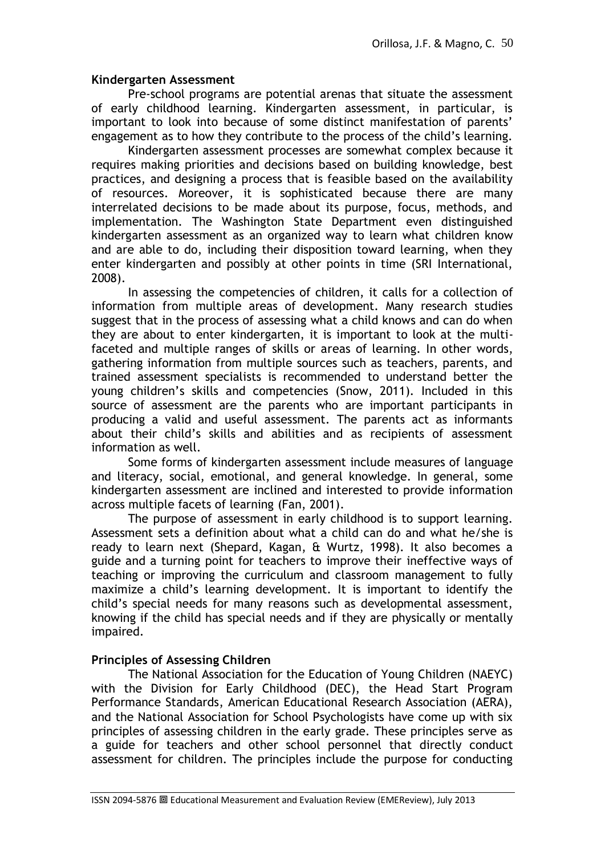## **Kindergarten Assessment**

Pre-school programs are potential arenas that situate the assessment of early childhood learning. Kindergarten assessment, in particular, is important to look into because of some distinct manifestation of parents" engagement as to how they contribute to the process of the child"s learning.

Kindergarten assessment processes are somewhat complex because it requires making priorities and decisions based on building knowledge, best practices, and designing a process that is feasible based on the availability of resources. Moreover, it is sophisticated because there are many interrelated decisions to be made about its purpose, focus, methods, and implementation. The Washington State Department even distinguished kindergarten assessment as an organized way to learn what children know and are able to do, including their disposition toward learning, when they enter kindergarten and possibly at other points in time (SRI International, 2008).

In assessing the competencies of children, it calls for a collection of information from multiple areas of development. Many research studies suggest that in the process of assessing what a child knows and can do when they are about to enter kindergarten, it is important to look at the multifaceted and multiple ranges of skills or areas of learning. In other words, gathering information from multiple sources such as teachers, parents, and trained assessment specialists is recommended to understand better the young children"s skills and competencies (Snow, 2011). Included in this source of assessment are the parents who are important participants in producing a valid and useful assessment. The parents act as informants about their child"s skills and abilities and as recipients of assessment information as well.

Some forms of kindergarten assessment include measures of language and literacy, social, emotional, and general knowledge. In general, some kindergarten assessment are inclined and interested to provide information across multiple facets of learning (Fan, 2001).

The purpose of assessment in early childhood is to support learning. Assessment sets a definition about what a child can do and what he/she is ready to learn next (Shepard, Kagan, & Wurtz, 1998). It also becomes a guide and a turning point for teachers to improve their ineffective ways of teaching or improving the curriculum and classroom management to fully maximize a child"s learning development. It is important to identify the child"s special needs for many reasons such as developmental assessment, knowing if the child has special needs and if they are physically or mentally impaired.

# **Principles of Assessing Children**

The National Association for the Education of Young Children (NAEYC) with the Division for Early Childhood (DEC), the Head Start Program Performance Standards, American Educational Research Association (AERA), and the National Association for School Psychologists have come up with six principles of assessing children in the early grade. These principles serve as a guide for teachers and other school personnel that directly conduct assessment for children. The principles include the purpose for conducting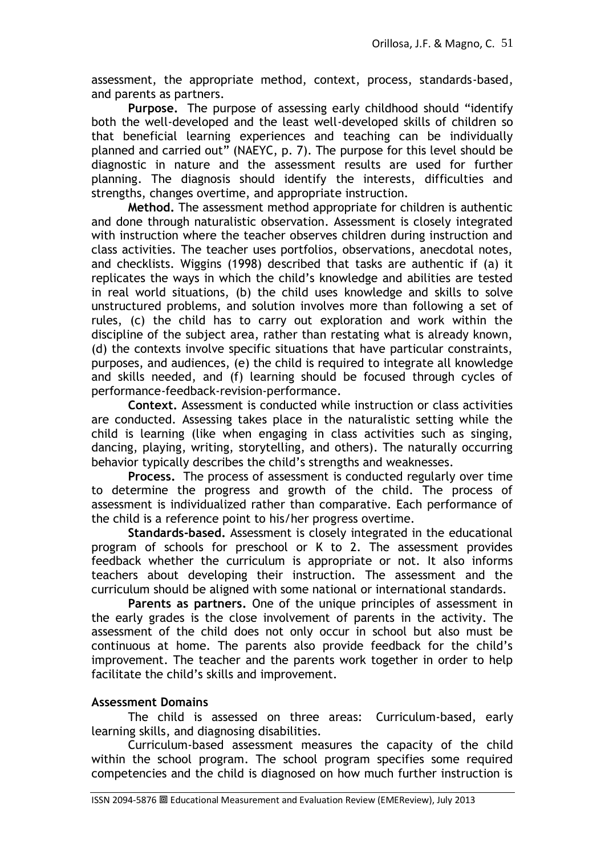assessment, the appropriate method, context, process, standards-based, and parents as partners.

**Purpose.** The purpose of assessing early childhood should "identify both the well-developed and the least well-developed skills of children so that beneficial learning experiences and teaching can be individually planned and carried out" (NAEYC, p. 7). The purpose for this level should be diagnostic in nature and the assessment results are used for further planning. The diagnosis should identify the interests, difficulties and strengths, changes overtime, and appropriate instruction.

**Method.** The assessment method appropriate for children is authentic and done through naturalistic observation. Assessment is closely integrated with instruction where the teacher observes children during instruction and class activities. The teacher uses portfolios, observations, anecdotal notes, and checklists. Wiggins (1998) described that tasks are authentic if (a) it replicates the ways in which the child"s knowledge and abilities are tested in real world situations, (b) the child uses knowledge and skills to solve unstructured problems, and solution involves more than following a set of rules, (c) the child has to carry out exploration and work within the discipline of the subject area, rather than restating what is already known, (d) the contexts involve specific situations that have particular constraints, purposes, and audiences, (e) the child is required to integrate all knowledge and skills needed, and (f) learning should be focused through cycles of performance-feedback-revision-performance.

**Context.** Assessment is conducted while instruction or class activities are conducted. Assessing takes place in the naturalistic setting while the child is learning (like when engaging in class activities such as singing, dancing, playing, writing, storytelling, and others). The naturally occurring behavior typically describes the child"s strengths and weaknesses.

**Process.** The process of assessment is conducted regularly over time to determine the progress and growth of the child. The process of assessment is individualized rather than comparative. Each performance of the child is a reference point to his/her progress overtime.

**Standards-based.** Assessment is closely integrated in the educational program of schools for preschool or K to 2. The assessment provides feedback whether the curriculum is appropriate or not. It also informs teachers about developing their instruction. The assessment and the curriculum should be aligned with some national or international standards.

**Parents as partners.** One of the unique principles of assessment in the early grades is the close involvement of parents in the activity. The assessment of the child does not only occur in school but also must be continuous at home. The parents also provide feedback for the child"s improvement. The teacher and the parents work together in order to help facilitate the child"s skills and improvement.

# **Assessment Domains**

The child is assessed on three areas: Curriculum-based, early learning skills, and diagnosing disabilities.

Curriculum-based assessment measures the capacity of the child within the school program. The school program specifies some required competencies and the child is diagnosed on how much further instruction is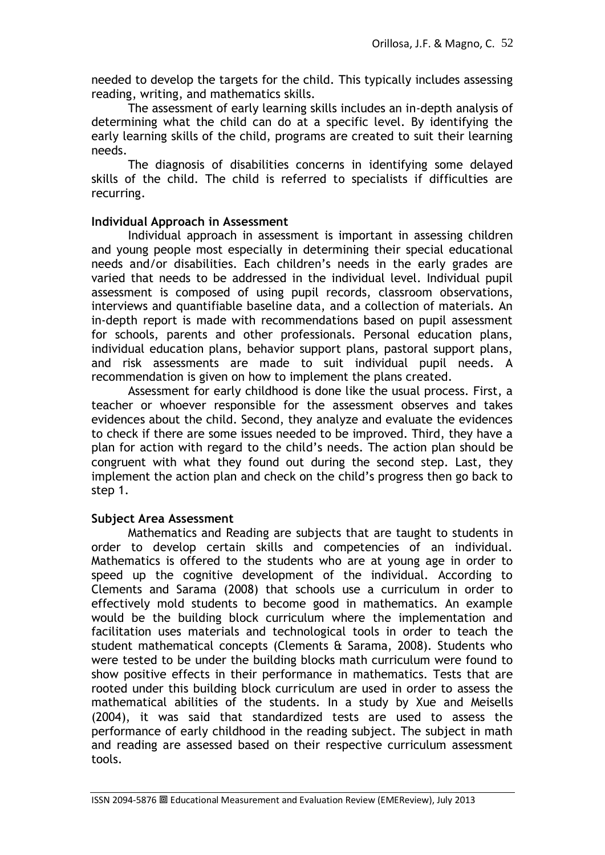needed to develop the targets for the child. This typically includes assessing reading, writing, and mathematics skills.

The assessment of early learning skills includes an in-depth analysis of determining what the child can do at a specific level. By identifying the early learning skills of the child, programs are created to suit their learning needs.

The diagnosis of disabilities concerns in identifying some delayed skills of the child. The child is referred to specialists if difficulties are recurring.

# **Individual Approach in Assessment**

Individual approach in assessment is important in assessing children and young people most especially in determining their special educational needs and/or disabilities. Each children"s needs in the early grades are varied that needs to be addressed in the individual level. Individual pupil assessment is composed of using pupil records, classroom observations, interviews and quantifiable baseline data, and a collection of materials. An in-depth report is made with recommendations based on pupil assessment for schools, parents and other professionals. Personal education plans, individual education plans, behavior support plans, pastoral support plans, and risk assessments are made to suit individual pupil needs. A recommendation is given on how to implement the plans created.

Assessment for early childhood is done like the usual process. First, a teacher or whoever responsible for the assessment observes and takes evidences about the child. Second, they analyze and evaluate the evidences to check if there are some issues needed to be improved. Third, they have a plan for action with regard to the child"s needs. The action plan should be congruent with what they found out during the second step. Last, they implement the action plan and check on the child"s progress then go back to step 1.

# **Subject Area Assessment**

Mathematics and Reading are subjects that are taught to students in order to develop certain skills and competencies of an individual. Mathematics is offered to the students who are at young age in order to speed up the cognitive development of the individual. According to Clements and Sarama (2008) that schools use a curriculum in order to effectively mold students to become good in mathematics. An example would be the building block curriculum where the implementation and facilitation uses materials and technological tools in order to teach the student mathematical concepts (Clements & Sarama, 2008). Students who were tested to be under the building blocks math curriculum were found to show positive effects in their performance in mathematics. Tests that are rooted under this building block curriculum are used in order to assess the mathematical abilities of the students. In a study by Xue and Meisells (2004), it was said that standardized tests are used to assess the performance of early childhood in the reading subject. The subject in math and reading are assessed based on their respective curriculum assessment tools.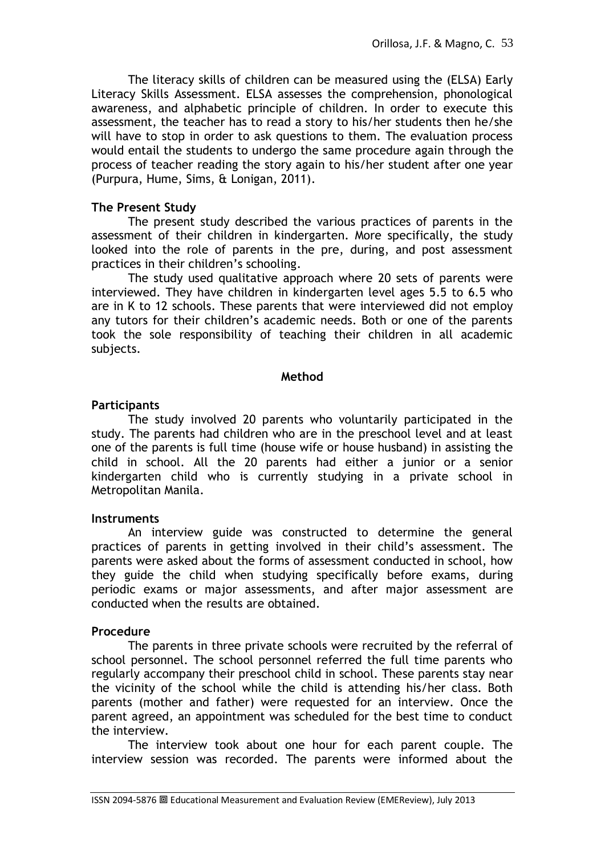The literacy skills of children can be measured using the (ELSA) Early Literacy Skills Assessment. ELSA assesses the comprehension, phonological awareness, and alphabetic principle of children. In order to execute this assessment, the teacher has to read a story to his/her students then he/she will have to stop in order to ask questions to them. The evaluation process would entail the students to undergo the same procedure again through the process of teacher reading the story again to his/her student after one year (Purpura, Hume, Sims, & Lonigan, 2011).

# **The Present Study**

The present study described the various practices of parents in the assessment of their children in kindergarten. More specifically, the study looked into the role of parents in the pre, during, and post assessment practices in their children's schooling.

The study used qualitative approach where 20 sets of parents were interviewed. They have children in kindergarten level ages 5.5 to 6.5 who are in K to 12 schools. These parents that were interviewed did not employ any tutors for their children"s academic needs. Both or one of the parents took the sole responsibility of teaching their children in all academic subjects.

### **Method**

### **Participants**

The study involved 20 parents who voluntarily participated in the study. The parents had children who are in the preschool level and at least one of the parents is full time (house wife or house husband) in assisting the child in school. All the 20 parents had either a junior or a senior kindergarten child who is currently studying in a private school in Metropolitan Manila.

# **Instruments**

An interview guide was constructed to determine the general practices of parents in getting involved in their child"s assessment. The parents were asked about the forms of assessment conducted in school, how they guide the child when studying specifically before exams, during periodic exams or major assessments, and after major assessment are conducted when the results are obtained.

# **Procedure**

The parents in three private schools were recruited by the referral of school personnel. The school personnel referred the full time parents who regularly accompany their preschool child in school. These parents stay near the vicinity of the school while the child is attending his/her class. Both parents (mother and father) were requested for an interview. Once the parent agreed, an appointment was scheduled for the best time to conduct the interview.

The interview took about one hour for each parent couple. The interview session was recorded. The parents were informed about the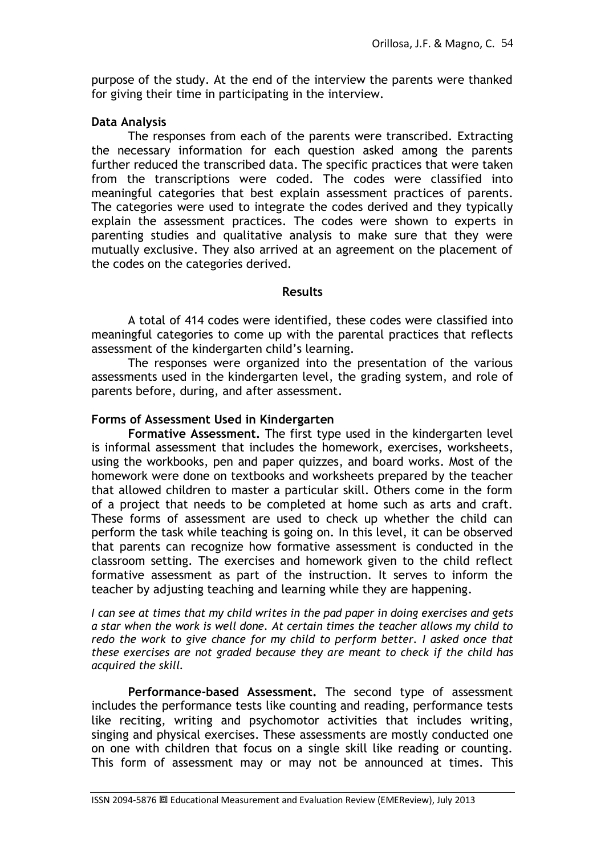purpose of the study. At the end of the interview the parents were thanked for giving their time in participating in the interview.

# **Data Analysis**

The responses from each of the parents were transcribed. Extracting the necessary information for each question asked among the parents further reduced the transcribed data. The specific practices that were taken from the transcriptions were coded. The codes were classified into meaningful categories that best explain assessment practices of parents. The categories were used to integrate the codes derived and they typically explain the assessment practices. The codes were shown to experts in parenting studies and qualitative analysis to make sure that they were mutually exclusive. They also arrived at an agreement on the placement of the codes on the categories derived.

# **Results**

A total of 414 codes were identified, these codes were classified into meaningful categories to come up with the parental practices that reflects assessment of the kindergarten child"s learning.

The responses were organized into the presentation of the various assessments used in the kindergarten level, the grading system, and role of parents before, during, and after assessment.

# **Forms of Assessment Used in Kindergarten**

**Formative Assessment.** The first type used in the kindergarten level is informal assessment that includes the homework, exercises, worksheets, using the workbooks, pen and paper quizzes, and board works. Most of the homework were done on textbooks and worksheets prepared by the teacher that allowed children to master a particular skill. Others come in the form of a project that needs to be completed at home such as arts and craft. These forms of assessment are used to check up whether the child can perform the task while teaching is going on. In this level, it can be observed that parents can recognize how formative assessment is conducted in the classroom setting. The exercises and homework given to the child reflect formative assessment as part of the instruction. It serves to inform the teacher by adjusting teaching and learning while they are happening.

*I can see at times that my child writes in the pad paper in doing exercises and gets a star when the work is well done. At certain times the teacher allows my child to redo the work to give chance for my child to perform better. I asked once that these exercises are not graded because they are meant to check if the child has acquired the skill.*

**Performance-based Assessment.** The second type of assessment includes the performance tests like counting and reading, performance tests like reciting, writing and psychomotor activities that includes writing, singing and physical exercises. These assessments are mostly conducted one on one with children that focus on a single skill like reading or counting. This form of assessment may or may not be announced at times. This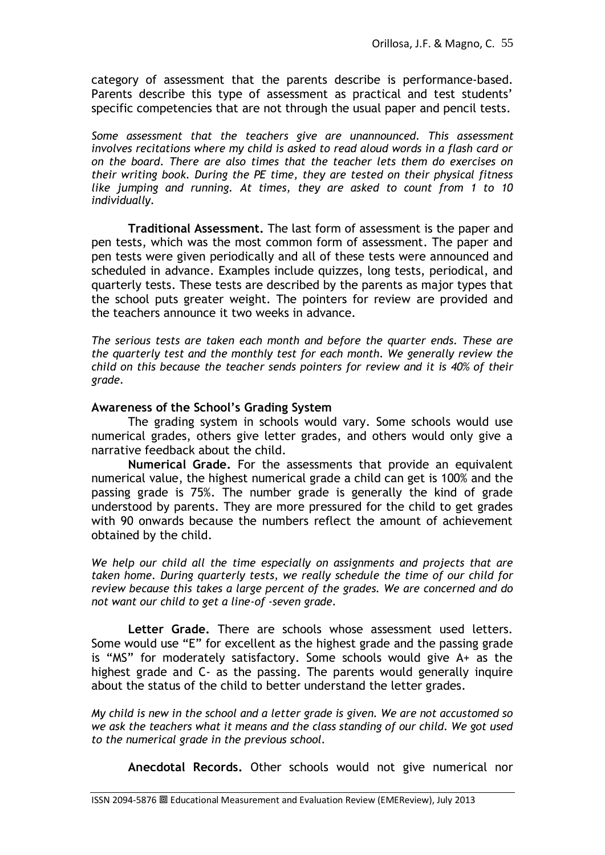category of assessment that the parents describe is performance-based. Parents describe this type of assessment as practical and test students' specific competencies that are not through the usual paper and pencil tests.

*Some assessment that the teachers give are unannounced. This assessment*  involves recitations where my child is asked to read aloud words in a flash card or *on the board. There are also times that the teacher lets them do exercises on their writing book. During the PE time, they are tested on their physical fitness like jumping and running. At times, they are asked to count from 1 to 10 individually.*

**Traditional Assessment.** The last form of assessment is the paper and pen tests, which was the most common form of assessment. The paper and pen tests were given periodically and all of these tests were announced and scheduled in advance. Examples include quizzes, long tests, periodical, and quarterly tests. These tests are described by the parents as major types that the school puts greater weight. The pointers for review are provided and the teachers announce it two weeks in advance.

*The serious tests are taken each month and before the quarter ends. These are the quarterly test and the monthly test for each month. We generally review the child on this because the teacher sends pointers for review and it is 40% of their grade.*

# **Awareness of the School's Grading System**

The grading system in schools would vary. Some schools would use numerical grades, others give letter grades, and others would only give a narrative feedback about the child.

**Numerical Grade.** For the assessments that provide an equivalent numerical value, the highest numerical grade a child can get is 100% and the passing grade is 75%. The number grade is generally the kind of grade understood by parents. They are more pressured for the child to get grades with 90 onwards because the numbers reflect the amount of achievement obtained by the child.

*We help our child all the time especially on assignments and projects that are taken home. During quarterly tests, we really schedule the time of our child for review because this takes a large percent of the grades. We are concerned and do not want our child to get a line-of -seven grade.* 

**Letter Grade.** There are schools whose assessment used letters. Some would use "E" for excellent as the highest grade and the passing grade is "MS" for moderately satisfactory. Some schools would give A+ as the highest grade and C- as the passing. The parents would generally inquire about the status of the child to better understand the letter grades.

*My child is new in the school and a letter grade is given. We are not accustomed so we ask the teachers what it means and the class standing of our child. We got used to the numerical grade in the previous school.*

**Anecdotal Records.** Other schools would not give numerical nor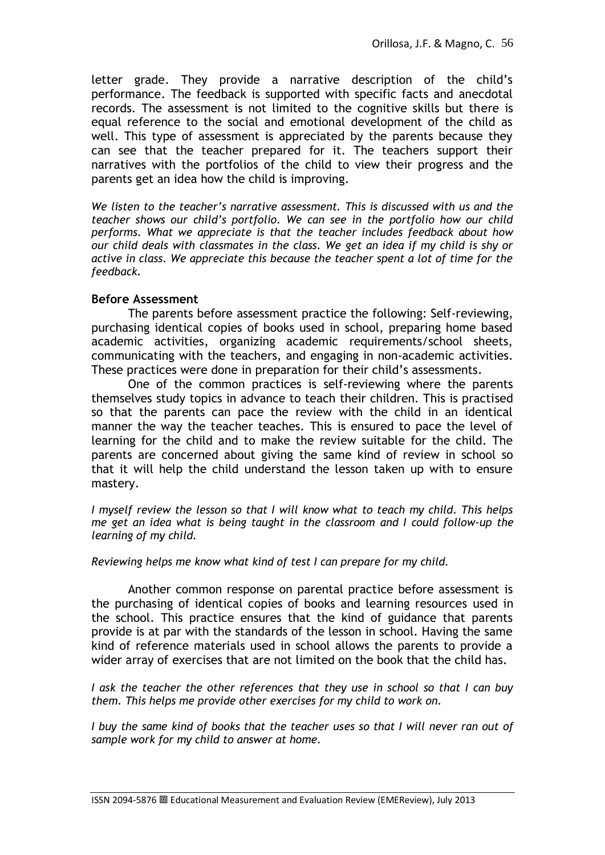letter grade. They provide a narrative description of the child"s performance. The feedback is supported with specific facts and anecdotal records. The assessment is not limited to the cognitive skills but there is equal reference to the social and emotional development of the child as well. This type of assessment is appreciated by the parents because they can see that the teacher prepared for it. The teachers support their narratives with the portfolios of the child to view their progress and the parents get an idea how the child is improving.

*We listen to the teacher's narrative assessment. This is discussed with us and the teacher shows our child's portfolio. We can see in the portfolio how our child performs. What we appreciate is that the teacher includes feedback about how our child deals with classmates in the class. We get an idea if my child is shy or active in class. We appreciate this because the teacher spent a lot of time for the feedback.* 

### **Before Assessment**

The parents before assessment practice the following: Self-reviewing, purchasing identical copies of books used in school, preparing home based academic activities, organizing academic requirements/school sheets, communicating with the teachers, and engaging in non-academic activities. These practices were done in preparation for their child"s assessments.

One of the common practices is self-reviewing where the parents themselves study topics in advance to teach their children. This is practised so that the parents can pace the review with the child in an identical manner the way the teacher teaches. This is ensured to pace the level of learning for the child and to make the review suitable for the child. The parents are concerned about giving the same kind of review in school so that it will help the child understand the lesson taken up with to ensure mastery.

*I myself review the lesson so that I will know what to teach my child. This helps me get an idea what is being taught in the classroom and I could follow-up the learning of my child.* 

*Reviewing helps me know what kind of test I can prepare for my child.*

Another common response on parental practice before assessment is the purchasing of identical copies of books and learning resources used in the school. This practice ensures that the kind of guidance that parents provide is at par with the standards of the lesson in school. Having the same kind of reference materials used in school allows the parents to provide a wider array of exercises that are not limited on the book that the child has.

*I ask the teacher the other references that they use in school so that I can buy them. This helps me provide other exercises for my child to work on.*

*I buy the same kind of books that the teacher uses so that I will never ran out of sample work for my child to answer at home.*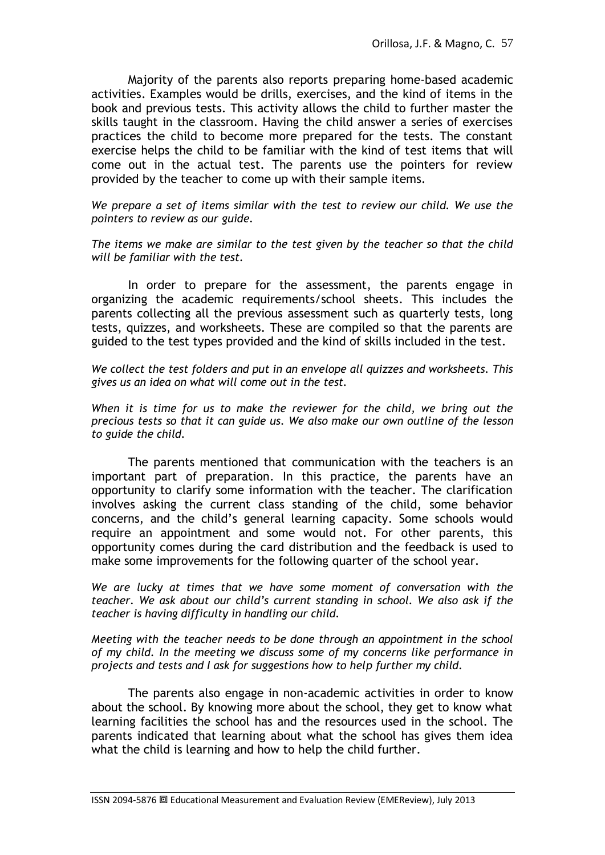Majority of the parents also reports preparing home-based academic activities. Examples would be drills, exercises, and the kind of items in the book and previous tests. This activity allows the child to further master the skills taught in the classroom. Having the child answer a series of exercises practices the child to become more prepared for the tests. The constant exercise helps the child to be familiar with the kind of test items that will come out in the actual test. The parents use the pointers for review provided by the teacher to come up with their sample items.

*We prepare a set of items similar with the test to review our child. We use the pointers to review as our guide.*

*The items we make are similar to the test given by the teacher so that the child will be familiar with the test.*

In order to prepare for the assessment, the parents engage in organizing the academic requirements/school sheets. This includes the parents collecting all the previous assessment such as quarterly tests, long tests, quizzes, and worksheets. These are compiled so that the parents are guided to the test types provided and the kind of skills included in the test.

*We collect the test folders and put in an envelope all quizzes and worksheets. This gives us an idea on what will come out in the test.* 

*When it is time for us to make the reviewer for the child, we bring out the precious tests so that it can guide us. We also make our own outline of the lesson to guide the child.*

The parents mentioned that communication with the teachers is an important part of preparation. In this practice, the parents have an opportunity to clarify some information with the teacher. The clarification involves asking the current class standing of the child, some behavior concerns, and the child"s general learning capacity. Some schools would require an appointment and some would not. For other parents, this opportunity comes during the card distribution and the feedback is used to make some improvements for the following quarter of the school year.

*We are lucky at times that we have some moment of conversation with the teacher. We ask about our child's current standing in school. We also ask if the teacher is having difficulty in handling our child.* 

*Meeting with the teacher needs to be done through an appointment in the school of my child. In the meeting we discuss some of my concerns like performance in projects and tests and I ask for suggestions how to help further my child.*

The parents also engage in non-academic activities in order to know about the school. By knowing more about the school, they get to know what learning facilities the school has and the resources used in the school. The parents indicated that learning about what the school has gives them idea what the child is learning and how to help the child further.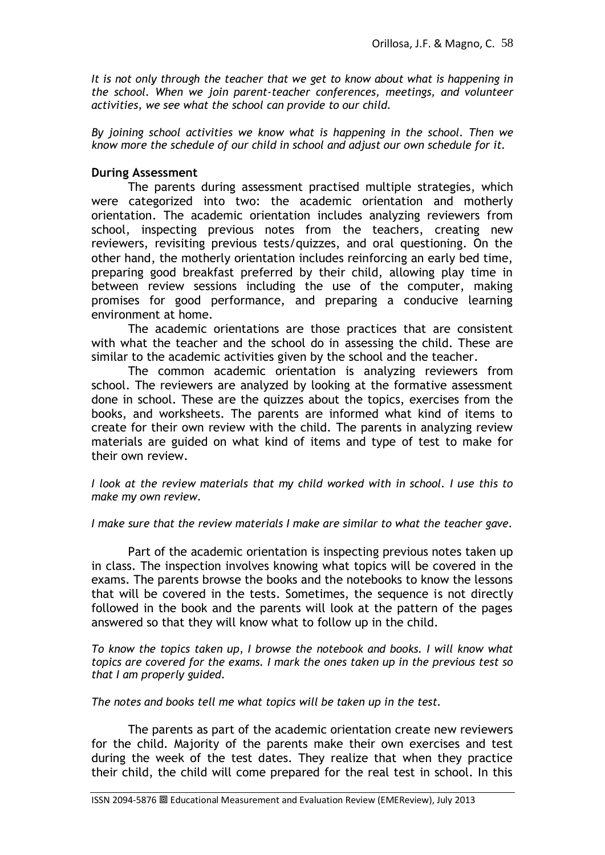*It is not only through the teacher that we get to know about what is happening in the school. When we join parent-teacher conferences, meetings, and volunteer activities, we see what the school can provide to our child.* 

*By joining school activities we know what is happening in the school. Then we know more the schedule of our child in school and adjust our own schedule for it.*

## **During Assessment**

The parents during assessment practised multiple strategies, which were categorized into two: the academic orientation and motherly orientation. The academic orientation includes analyzing reviewers from school, inspecting previous notes from the teachers, creating new reviewers, revisiting previous tests/quizzes, and oral questioning. On the other hand, the motherly orientation includes reinforcing an early bed time, preparing good breakfast preferred by their child, allowing play time in between review sessions including the use of the computer, making promises for good performance, and preparing a conducive learning environment at home.

The academic orientations are those practices that are consistent with what the teacher and the school do in assessing the child. These are similar to the academic activities given by the school and the teacher.

The common academic orientation is analyzing reviewers from school. The reviewers are analyzed by looking at the formative assessment done in school. These are the quizzes about the topics, exercises from the books, and worksheets. The parents are informed what kind of items to create for their own review with the child. The parents in analyzing review materials are guided on what kind of items and type of test to make for their own review.

*I look at the review materials that my child worked with in school. I use this to make my own review.* 

#### *I make sure that the review materials I make are similar to what the teacher gave.*

Part of the academic orientation is inspecting previous notes taken up in class. The inspection involves knowing what topics will be covered in the exams. The parents browse the books and the notebooks to know the lessons that will be covered in the tests. Sometimes, the sequence is not directly followed in the book and the parents will look at the pattern of the pages answered so that they will know what to follow up in the child.

*To know the topics taken up, I browse the notebook and books. I will know what topics are covered for the exams. I mark the ones taken up in the previous test so that I am properly guided.* 

*The notes and books tell me what topics will be taken up in the test.*

The parents as part of the academic orientation create new reviewers for the child. Majority of the parents make their own exercises and test during the week of the test dates. They realize that when they practice their child, the child will come prepared for the real test in school. In this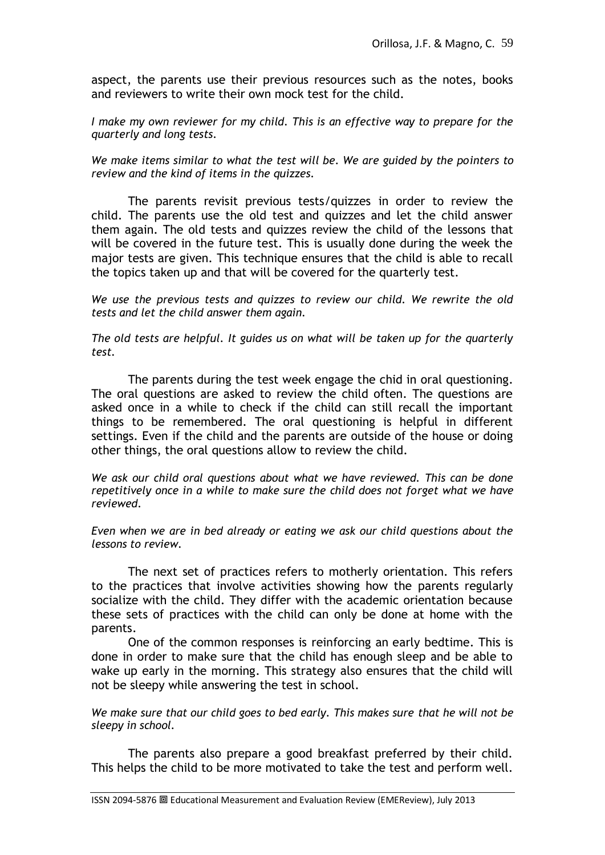aspect, the parents use their previous resources such as the notes, books and reviewers to write their own mock test for the child.

*I make my own reviewer for my child. This is an effective way to prepare for the quarterly and long tests.*

*We make items similar to what the test will be. We are guided by the pointers to review and the kind of items in the quizzes.*

The parents revisit previous tests/quizzes in order to review the child. The parents use the old test and quizzes and let the child answer them again. The old tests and quizzes review the child of the lessons that will be covered in the future test. This is usually done during the week the major tests are given. This technique ensures that the child is able to recall the topics taken up and that will be covered for the quarterly test.

*We use the previous tests and quizzes to review our child. We rewrite the old tests and let the child answer them again.*

*The old tests are helpful. It guides us on what will be taken up for the quarterly test.*

The parents during the test week engage the chid in oral questioning. The oral questions are asked to review the child often. The questions are asked once in a while to check if the child can still recall the important things to be remembered. The oral questioning is helpful in different settings. Even if the child and the parents are outside of the house or doing other things, the oral questions allow to review the child.

*We ask our child oral questions about what we have reviewed. This can be done repetitively once in a while to make sure the child does not forget what we have reviewed.*

*Even when we are in bed already or eating we ask our child questions about the lessons to review.*

The next set of practices refers to motherly orientation. This refers to the practices that involve activities showing how the parents regularly socialize with the child. They differ with the academic orientation because these sets of practices with the child can only be done at home with the parents.

One of the common responses is reinforcing an early bedtime. This is done in order to make sure that the child has enough sleep and be able to wake up early in the morning. This strategy also ensures that the child will not be sleepy while answering the test in school.

*We make sure that our child goes to bed early. This makes sure that he will not be sleepy in school.*

The parents also prepare a good breakfast preferred by their child. This helps the child to be more motivated to take the test and perform well.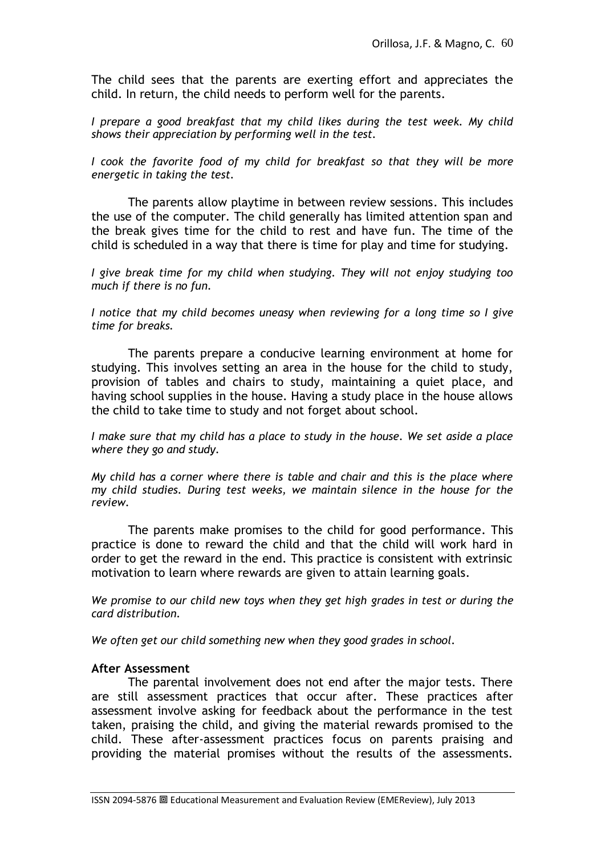The child sees that the parents are exerting effort and appreciates the child. In return, the child needs to perform well for the parents.

*I prepare a good breakfast that my child likes during the test week. My child shows their appreciation by performing well in the test.*

*I cook the favorite food of my child for breakfast so that they will be more energetic in taking the test.* 

The parents allow playtime in between review sessions. This includes the use of the computer. The child generally has limited attention span and the break gives time for the child to rest and have fun. The time of the child is scheduled in a way that there is time for play and time for studying.

*I give break time for my child when studying. They will not enjoy studying too much if there is no fun.*

*I notice that my child becomes uneasy when reviewing for a long time so I give time for breaks.*

The parents prepare a conducive learning environment at home for studying. This involves setting an area in the house for the child to study, provision of tables and chairs to study, maintaining a quiet place, and having school supplies in the house. Having a study place in the house allows the child to take time to study and not forget about school.

*I make sure that my child has a place to study in the house. We set aside a place where they go and study.*

*My child has a corner where there is table and chair and this is the place where my child studies. During test weeks, we maintain silence in the house for the review.*

The parents make promises to the child for good performance. This practice is done to reward the child and that the child will work hard in order to get the reward in the end. This practice is consistent with extrinsic motivation to learn where rewards are given to attain learning goals.

*We promise to our child new toys when they get high grades in test or during the card distribution.*

*We often get our child something new when they good grades in school.*

#### **After Assessment**

The parental involvement does not end after the major tests. There are still assessment practices that occur after. These practices after assessment involve asking for feedback about the performance in the test taken, praising the child, and giving the material rewards promised to the child. These after-assessment practices focus on parents praising and providing the material promises without the results of the assessments.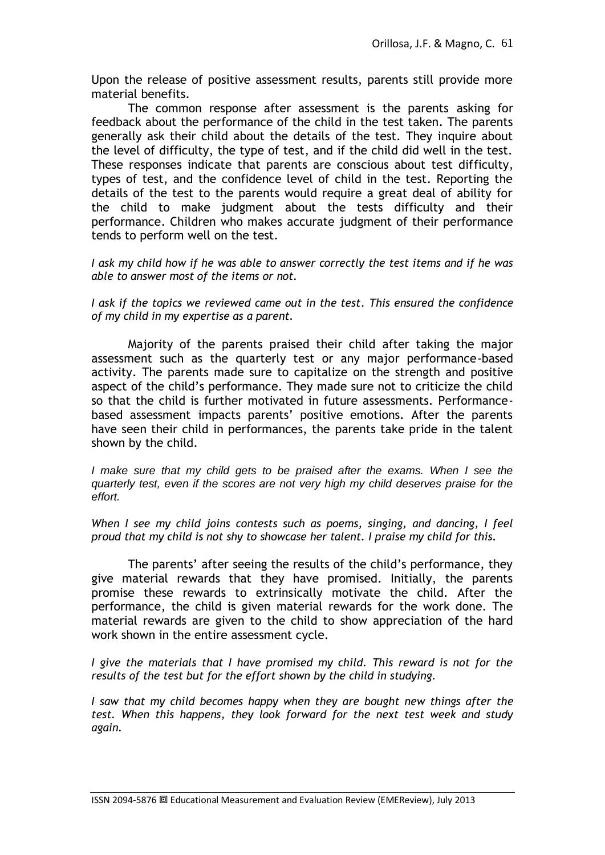Upon the release of positive assessment results, parents still provide more material benefits.

The common response after assessment is the parents asking for feedback about the performance of the child in the test taken. The parents generally ask their child about the details of the test. They inquire about the level of difficulty, the type of test, and if the child did well in the test. These responses indicate that parents are conscious about test difficulty, types of test, and the confidence level of child in the test. Reporting the details of the test to the parents would require a great deal of ability for the child to make judgment about the tests difficulty and their performance. Children who makes accurate judgment of their performance tends to perform well on the test.

*I ask my child how if he was able to answer correctly the test items and if he was able to answer most of the items or not.*

*I ask if the topics we reviewed came out in the test. This ensured the confidence of my child in my expertise as a parent.*

Majority of the parents praised their child after taking the major assessment such as the quarterly test or any major performance-based activity. The parents made sure to capitalize on the strength and positive aspect of the child"s performance. They made sure not to criticize the child so that the child is further motivated in future assessments. Performancebased assessment impacts parents' positive emotions. After the parents have seen their child in performances, the parents take pride in the talent shown by the child.

*I make sure that my child gets to be praised after the exams. When I see the quarterly test, even if the scores are not very high my child deserves praise for the effort.* 

*When I see my child joins contests such as poems, singing, and dancing, I feel proud that my child is not shy to showcase her talent. I praise my child for this.*

The parents' after seeing the results of the child's performance, they give material rewards that they have promised. Initially, the parents promise these rewards to extrinsically motivate the child. After the performance, the child is given material rewards for the work done. The material rewards are given to the child to show appreciation of the hard work shown in the entire assessment cycle.

*I give the materials that I have promised my child. This reward is not for the results of the test but for the effort shown by the child in studying.* 

*I saw that my child becomes happy when they are bought new things after the test. When this happens, they look forward for the next test week and study again.*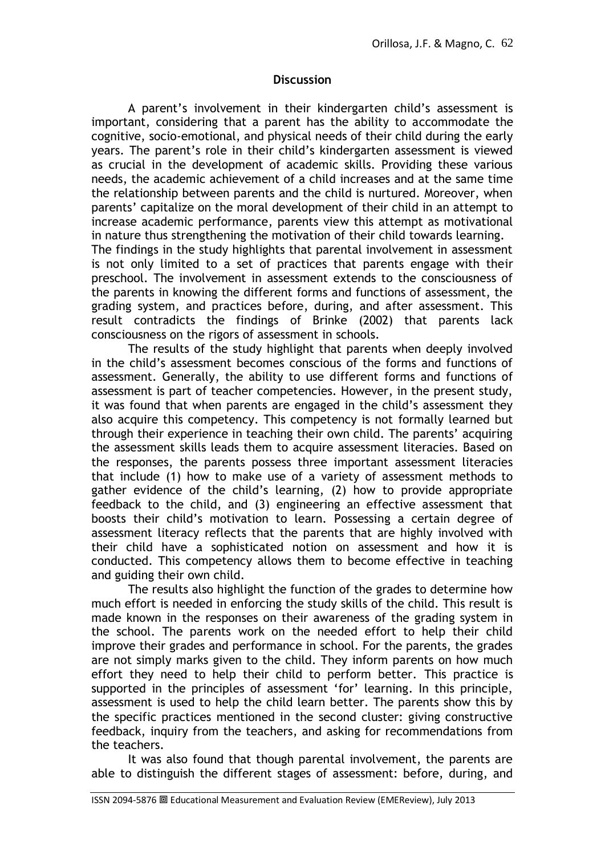### **Discussion**

A parent"s involvement in their kindergarten child"s assessment is important, considering that a parent has the ability to accommodate the cognitive, socio-emotional, and physical needs of their child during the early years. The parent"s role in their child"s kindergarten assessment is viewed as crucial in the development of academic skills. Providing these various needs, the academic achievement of a child increases and at the same time the relationship between parents and the child is nurtured. Moreover, when parents" capitalize on the moral development of their child in an attempt to increase academic performance, parents view this attempt as motivational in nature thus strengthening the motivation of their child towards learning.

The findings in the study highlights that parental involvement in assessment is not only limited to a set of practices that parents engage with their preschool. The involvement in assessment extends to the consciousness of the parents in knowing the different forms and functions of assessment, the grading system, and practices before, during, and after assessment. This result contradicts the findings of Brinke (2002) that parents lack consciousness on the rigors of assessment in schools.

The results of the study highlight that parents when deeply involved in the child"s assessment becomes conscious of the forms and functions of assessment. Generally, the ability to use different forms and functions of assessment is part of teacher competencies. However, in the present study, it was found that when parents are engaged in the child"s assessment they also acquire this competency. This competency is not formally learned but through their experience in teaching their own child. The parents' acquiring the assessment skills leads them to acquire assessment literacies. Based on the responses, the parents possess three important assessment literacies that include (1) how to make use of a variety of assessment methods to gather evidence of the child"s learning, (2) how to provide appropriate feedback to the child, and (3) engineering an effective assessment that boosts their child"s motivation to learn. Possessing a certain degree of assessment literacy reflects that the parents that are highly involved with their child have a sophisticated notion on assessment and how it is conducted. This competency allows them to become effective in teaching and guiding their own child.

The results also highlight the function of the grades to determine how much effort is needed in enforcing the study skills of the child. This result is made known in the responses on their awareness of the grading system in the school. The parents work on the needed effort to help their child improve their grades and performance in school. For the parents, the grades are not simply marks given to the child. They inform parents on how much effort they need to help their child to perform better. This practice is supported in the principles of assessment 'for' learning. In this principle, assessment is used to help the child learn better. The parents show this by the specific practices mentioned in the second cluster: giving constructive feedback, inquiry from the teachers, and asking for recommendations from the teachers.

It was also found that though parental involvement, the parents are able to distinguish the different stages of assessment: before, during, and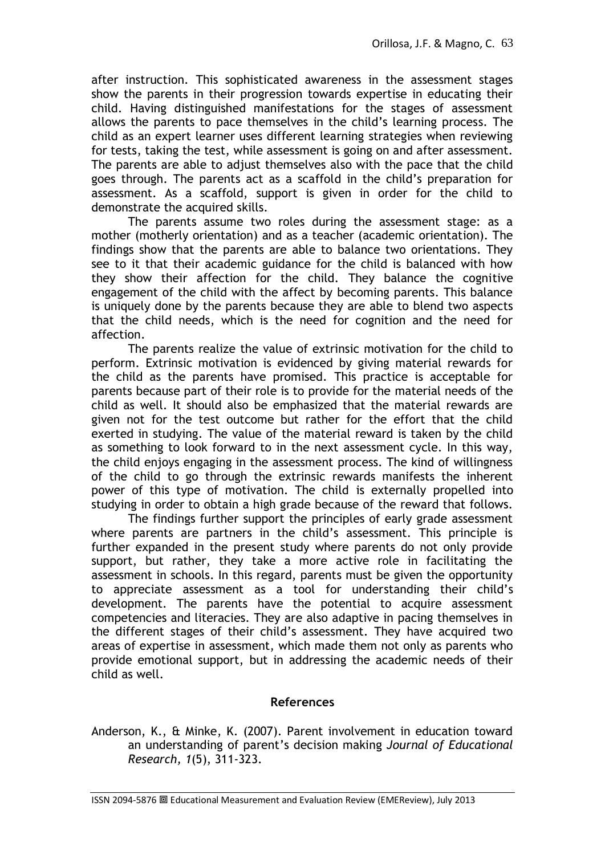after instruction. This sophisticated awareness in the assessment stages show the parents in their progression towards expertise in educating their child. Having distinguished manifestations for the stages of assessment allows the parents to pace themselves in the child"s learning process. The child as an expert learner uses different learning strategies when reviewing for tests, taking the test, while assessment is going on and after assessment. The parents are able to adjust themselves also with the pace that the child goes through. The parents act as a scaffold in the child"s preparation for assessment. As a scaffold, support is given in order for the child to demonstrate the acquired skills.

The parents assume two roles during the assessment stage: as a mother (motherly orientation) and as a teacher (academic orientation). The findings show that the parents are able to balance two orientations. They see to it that their academic guidance for the child is balanced with how they show their affection for the child. They balance the cognitive engagement of the child with the affect by becoming parents. This balance is uniquely done by the parents because they are able to blend two aspects that the child needs, which is the need for cognition and the need for affection.

The parents realize the value of extrinsic motivation for the child to perform. Extrinsic motivation is evidenced by giving material rewards for the child as the parents have promised. This practice is acceptable for parents because part of their role is to provide for the material needs of the child as well. It should also be emphasized that the material rewards are given not for the test outcome but rather for the effort that the child exerted in studying. The value of the material reward is taken by the child as something to look forward to in the next assessment cycle. In this way, the child enjoys engaging in the assessment process. The kind of willingness of the child to go through the extrinsic rewards manifests the inherent power of this type of motivation. The child is externally propelled into studying in order to obtain a high grade because of the reward that follows.

The findings further support the principles of early grade assessment where parents are partners in the child's assessment. This principle is further expanded in the present study where parents do not only provide support, but rather, they take a more active role in facilitating the assessment in schools. In this regard, parents must be given the opportunity to appreciate assessment as a tool for understanding their child"s development. The parents have the potential to acquire assessment competencies and literacies. They are also adaptive in pacing themselves in the different stages of their child"s assessment. They have acquired two areas of expertise in assessment, which made them not only as parents who provide emotional support, but in addressing the academic needs of their child as well.

# **References**

Anderson, K., & Minke, K. (2007). Parent involvement in education toward an understanding of parent"s decision making *Journal of Educational Research, 1*(5), 311-323.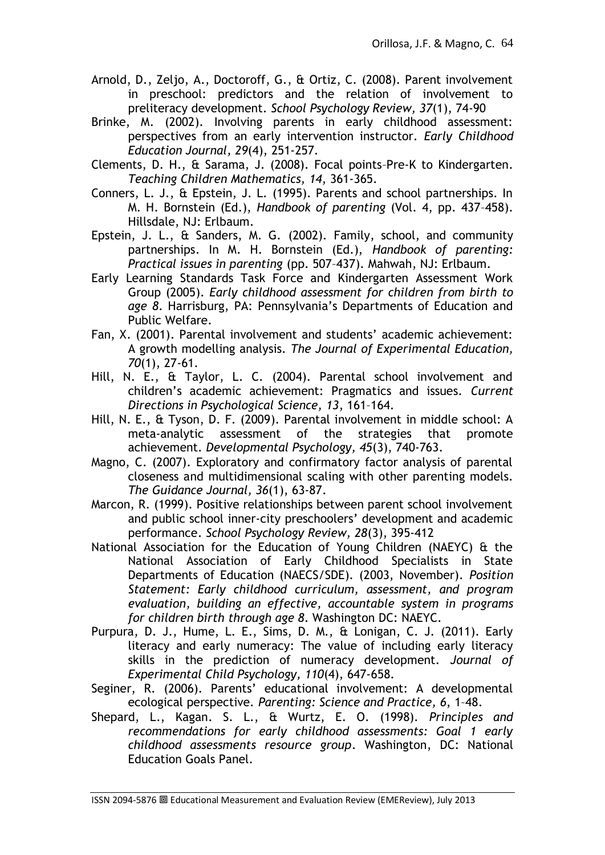- Arnold, D., Zeljo, A., Doctoroff, G., & Ortiz, C. (2008). Parent involvement in preschool: predictors and the relation of involvement to preliteracy development. *School Psychology Review, 37*(1), 74-90
- Brinke, M. (2002). Involving parents in early childhood assessment: perspectives from an early intervention instructor. *Early Childhood Education Journal, 29*(4), 251-257.
- Clements, D. H., & Sarama, J. (2008). Focal points–Pre-K to Kindergarten. *Teaching Children Mathematics, 14*, 361-365.
- Conners, L. J., & Epstein, J. L. (1995). Parents and school partnerships. In M. H. Bornstein (Ed.), *Handbook of parenting* (Vol. 4, pp. 437–458). Hillsdale, NJ: Erlbaum.
- Epstein, J. L., & Sanders, M. G. (2002). Family, school, and community partnerships. In M. H. Bornstein (Ed.), *Handbook of parenting: Practical issues in parenting* (pp. 507–437). Mahwah, NJ: Erlbaum.
- Early Learning Standards Task Force and Kindergarten Assessment Work Group (2005). *Early childhood assessment for children from birth to age 8*. Harrisburg, PA: Pennsylvania"s Departments of Education and Public Welfare.
- Fan, X. (2001). Parental involvement and students' academic achievement: A growth modelling analysis. *The Journal of Experimental Education, 70*(1), 27-61.
- Hill, N. E., & Taylor, L. C. (2004). Parental school involvement and children"s academic achievement: Pragmatics and issues. *Current Directions in Psychological Science, 13*, 161–164.
- Hill, N. E., & Tyson, D. F. (2009). Parental involvement in middle school: A meta-analytic assessment of the strategies that promote achievement. *Developmental Psychology, 45*(3), 740-763.
- Magno, C. (2007). Exploratory and confirmatory factor analysis of parental closeness and multidimensional scaling with other parenting models. *The Guidance Journal, 36*(1), 63-87.
- Marcon, R. (1999). Positive relationships between parent school involvement and public school inner-city preschoolers' development and academic performance. *School Psychology Review, 28*(3), 395-412
- National Association for the Education of Young Children (NAEYC) & the National Association of Early Childhood Specialists in State Departments of Education (NAECS/SDE). (2003, November). *Position Statement: Early childhood curriculum, assessment, and program evaluation, building an effective, accountable system in programs for children birth through age 8*. Washington DC: NAEYC.
- Purpura, D. J., Hume, L. E., Sims, D. M., & Lonigan, C. J. (2011). Early literacy and early numeracy: The value of including early literacy skills in the prediction of numeracy development. *Journal of Experimental Child Psychology, 110*(4), 647-658.
- Seginer, R. (2006). Parents' educational involvement: A developmental ecological perspective. *Parenting: Science and Practice, 6*, 1–48.
- Shepard, L., Kagan. S. L., & Wurtz, E. O. (1998). *Principles and recommendations for early childhood assessments: Goal 1 early childhood assessments resource group*. Washington, DC: National Education Goals Panel.